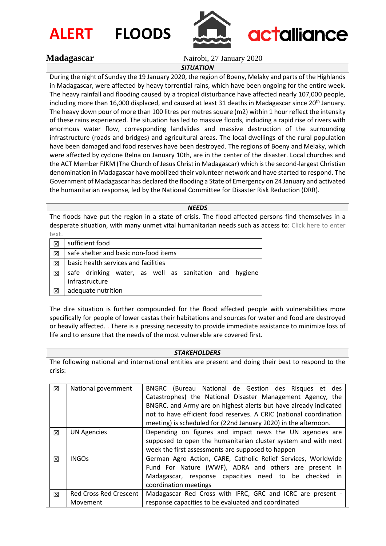



### **Madagascar** Nairobi, 27 January 2020

## *SITUATION*

During the night of Sunday the 19 January 2020, the region of Boeny, Melaky and parts of the Highlands in Madagascar, were affected by heavy torrential rains, which have been ongoing for the entire week. The heavy rainfall and flooding caused by a tropical disturbance have affected nearly 107,000 people, including more than 16,000 displaced, and caused at least 31 deaths in Madagascar since 20<sup>th</sup> January. The heavy down pour of more than 100 litres per metres square (m2) within 1 hour reflect the intensity of these rains experienced. The situation has led to massive floods, including a rapid rise of rivers with enormous water flow, corresponding landslides and massive destruction of the surrounding infrastructure (roads and bridges) and agricultural areas. The local dwellings of the rural population have been damaged and food reserves have been destroyed. The regions of Boeny and Melaky, which were affected by cyclone Belna on January 10th, are in the center of the disaster. Local churches and the ACT Member FJKM (The Church of Jesus Christ in Madagascar) which is the second-largest Christian denomination in Madagascar have mobilized their volunteer network and have started to respond. The Government of Madagascar has declared the flooding a State of Emergency on 24 January and activated the humanitarian response, led by the National Committee for Disaster Risk Reduction (DRR).

*NEEDS*

The floods have put the region in a state of crisis. The flood affected persons find themselves in a desperate situation, with many unmet vital humanitarian needs such as access to: Click here to enter text.

| <b></b> |                                                        |  |  |
|---------|--------------------------------------------------------|--|--|
| ⊠       | sufficient food                                        |  |  |
| 区       | safe shelter and basic non-food items                  |  |  |
| 区       | basic health services and facilities                   |  |  |
| 区       | safe drinking water, as well as sanitation and hygiene |  |  |
|         | infrastructure                                         |  |  |
| ⊠       | adequate nutrition                                     |  |  |

The dire situation is further compounded for the flood affected people with vulnerabilities more specifically for people of lower castas their habitations and sources for water and food are destroyed or heavily affected. . There is a pressing necessity to provide immediate assistance to minimize loss of life and to ensure that the needs of the most vulnerable are covered first.

#### *STAKEHOLDERS*

The following national and international entities are present and doing their best to respond to the crisis:

| 区 | National government           | (Bureau National de Gestion des Risques et des<br>BNGRC            |
|---|-------------------------------|--------------------------------------------------------------------|
|   |                               | Catastrophes) the National Disaster Management Agency, the         |
|   |                               | BNGRC. and Army are on highest alerts but have already indicated   |
|   |                               | not to have efficient food reserves. A CRIC (national coordination |
|   |                               | meeting) is scheduled for (22nd January 2020) in the afternoon.    |
| 区 | <b>UN Agencies</b>            | Depending on figures and impact news the UN agencies are           |
|   |                               | supposed to open the humanitarian cluster system and with next     |
|   |                               | week the first assessments are supposed to happen                  |
| 冈 | <b>INGOs</b>                  | German Agro Action, CARE, Catholic Relief Services, Worldwide      |
|   |                               | Fund For Nature (WWF), ADRA and others are present in              |
|   |                               | Madagascar, response capacities need to be checked<br>in.          |
|   |                               | coordination meetings                                              |
| 図 | <b>Red Cross Red Crescent</b> | Madagascar Red Cross with IFRC, GRC and ICRC are present -         |
|   | Movement                      | response capacities to be evaluated and coordinated                |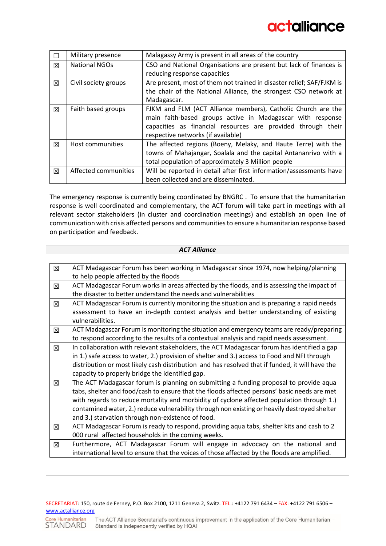|   | Military presence    | Malagassy Army is present in all areas of the country                 |
|---|----------------------|-----------------------------------------------------------------------|
| 冈 | <b>National NGOs</b> | CSO and National Organisations are present but lack of finances is    |
|   |                      | reducing response capacities                                          |
| 冈 | Civil society groups | Are present, most of them not trained in disaster relief; SAF/FJKM is |
|   |                      | the chair of the National Alliance, the strongest CSO network at      |
|   |                      | Madagascar.                                                           |
| 冈 | Faith based groups   | FJKM and FLM (ACT Alliance members), Catholic Church are the          |
|   |                      | main faith-based groups active in Madagascar with response            |
|   |                      | capacities as financial resources are provided through their          |
|   |                      | respective networks (if available)                                    |
| 冈 | Host communities     | The affected regions (Boeny, Melaky, and Haute Terre) with the        |
|   |                      | towns of Mahajangar, Soalala and the capital Antananrivo with a       |
|   |                      | total population of approximately 3 Million people                    |
| 冈 | Affected communities | Will be reported in detail after first information/assessments have   |
|   |                      | been collected and are disseminated.                                  |

The emergency response is currently being coordinated by BNGRC . To ensure that the humanitarian response is well coordinated and complementary, the ACT forum will take part in meetings with all relevant sector stakeholders (in cluster and coordination meetings) and establish an open line of communication with crisis affected persons and communities to ensure a humanitarian response based on participation and feedback.

|   | <b>ACT Alliance</b>                                                                                                                                                                                                                                                                                                                                                                                                                    |  |  |  |  |
|---|----------------------------------------------------------------------------------------------------------------------------------------------------------------------------------------------------------------------------------------------------------------------------------------------------------------------------------------------------------------------------------------------------------------------------------------|--|--|--|--|
|   |                                                                                                                                                                                                                                                                                                                                                                                                                                        |  |  |  |  |
| 区 | ACT Madagascar Forum has been working in Madagascar since 1974, now helping/planning<br>to help people affected by the floods                                                                                                                                                                                                                                                                                                          |  |  |  |  |
| 区 | ACT Madagascar Forum works in areas affected by the floods, and is assessing the impact of<br>the disaster to better understand the needs and vulnerabilities                                                                                                                                                                                                                                                                          |  |  |  |  |
| ⊠ | ACT Madagascar Forum is currently monitoring the situation and is preparing a rapid needs<br>assessment to have an in-depth context analysis and better understanding of existing<br>vulnerabilities.                                                                                                                                                                                                                                  |  |  |  |  |
| 冈 | ACT Madagascar Forum is monitoring the situation and emergency teams are ready/preparing<br>to respond according to the results of a contextual analysis and rapid needs assessment.                                                                                                                                                                                                                                                   |  |  |  |  |
| 冈 | In collaboration with relevant stakeholders, the ACT Madagascar forum has identified a gap<br>in 1.) safe access to water, 2.) provision of shelter and 3.) access to Food and NFI through<br>distribution or most likely cash distribution and has resolved that if funded, it will have the<br>capacity to properly bridge the identified gap.                                                                                       |  |  |  |  |
| 区 | The ACT Madagascar forum is planning on submitting a funding proposal to provide aqua<br>tabs, shelter and food/cash to ensure that the floods affected persons' basic needs are met<br>with regards to reduce mortality and morbidity of cyclone affected population through 1.)<br>contamined water, 2.) reduce vulnerability through non existing or heavily destroyed shelter<br>and 3.) starvation through non-existence of food. |  |  |  |  |
| 冈 | ACT Madagascar Forum is ready to respond, providing aqua tabs, shelter kits and cash to 2<br>000 rural affected households in the coming weeks.                                                                                                                                                                                                                                                                                        |  |  |  |  |
| 区 | Furthermore, ACT Madagascar Forum will engage in advocacy on the national and<br>international level to ensure that the voices of those affected by the floods are amplified.                                                                                                                                                                                                                                                          |  |  |  |  |
|   |                                                                                                                                                                                                                                                                                                                                                                                                                                        |  |  |  |  |